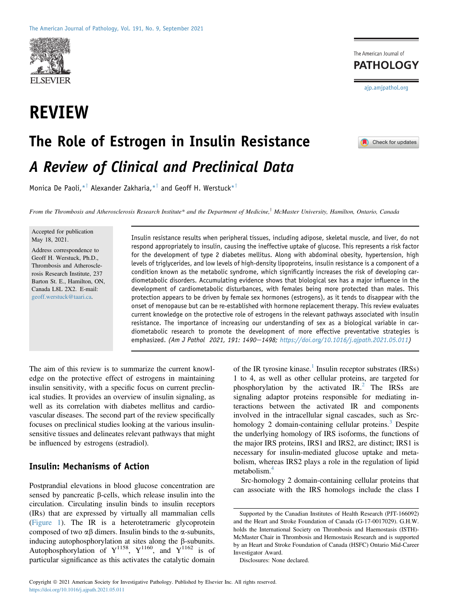

## REVIEW



 $\blacksquare$  Check for updates

# The Role of Estrogen in Insulin Resistance A Review of Clinical and Preclinical Data

Monica De Paoli,  $*^{\dagger}$  Alexander Zakharia,  $*^{\dagger}$  and Geoff H. Werstuck $*^{\dagger}$ 

From the Thrombosis and Atherosclerosis Research Institute\* and the Department of Medicine,<sup>†</sup> McMaster University, Hamilton, Ontario, Canada

Accepted for publication May 18, 2021.

Address correspondence to Geoff H. Werstuck, Ph.D., Thrombosis and Atherosclerosis Research Institute, 237 Barton St. E., Hamilton, ON, Canada L8L 2X2. E-mail: [geoff.werstuck@taari.ca.](mailto:geoff.werstuck@taari.ca)

Insulin resistance results when peripheral tissues, including adipose, skeletal muscle, and liver, do not respond appropriately to insulin, causing the ineffective uptake of glucose. This represents a risk factor for the development of type 2 diabetes mellitus. Along with abdominal obesity, hypertension, high levels of triglycerides, and low levels of high-density lipoproteins, insulin resistance is a component of a condition known as the metabolic syndrome, which significantly increases the risk of developing cardiometabolic disorders. Accumulating evidence shows that biological sex has a major influence in the development of cardiometabolic disturbances, with females being more protected than males. This protection appears to be driven by female sex hormones (estrogens), as it tends to disappear with the onset of menopause but can be re-established with hormone replacement therapy. This review evaluates current knowledge on the protective role of estrogens in the relevant pathways associated with insulin resistance. The importance of increasing our understanding of sex as a biological variable in cardiometabolic research to promote the development of more effective preventative strategies is emphasized. (Am J Pathol 2021, 191: 1490-1498; <https://doi.org/10.1016/j.ajpath.2021.05.011>)

The aim of this review is to summarize the current knowledge on the protective effect of estrogens in maintaining insulin sensitivity, with a specific focus on current preclinical studies. It provides an overview of insulin signaling, as well as its correlation with diabetes mellitus and cardiovascular diseases. The second part of the review specifically focuses on preclinical studies looking at the various insulinsensitive tissues and delineates relevant pathways that might be influenced by estrogens (estradiol).

#### Insulin: Mechanisms of Action

Postprandial elevations in blood glucose concentration are sensed by pancreatic  $\beta$ -cells, which release insulin into the circulation. Circulating insulin binds to insulin receptors (IRs) that are expressed by virtually all mammalian cells [\(Figure 1\)](#page-1-0). The IR is a heterotetrameric glycoprotein composed of two  $\alpha\beta$  dimers. Insulin binds to the  $\alpha$ -subunits, inducing autophosphorylation at sites along the  $\beta$ -subunits. Autophosphorylation of  $Y^{1158}$ ,  $Y^{1160}$ , and  $Y^{1162}$  is of particular significance as this activates the catalytic domain

of the IR tyrosine kinase.<sup>[1](#page-6-0)</sup> Insulin receptor substrates (IRSs) 1 to 4, as well as other cellular proteins, are targeted for phosphorylation by the activated  $IR<sup>2</sup>$  $IR<sup>2</sup>$  $IR<sup>2</sup>$ . The IRSs are signaling adaptor proteins responsible for mediating interactions between the activated IR and components involved in the intracellular signal cascades, such as Srchomology 2 domain-containing cellular proteins. $3$  Despite the underlying homology of IRS isoforms, the functions of the major IRS proteins, IRS1 and IRS2, are distinct; IRS1 is necessary for insulin-mediated glucose uptake and metabolism, whereas IRS2 plays a role in the regulation of lipid metabolism.<sup>[4](#page-6-3)</sup>

Src-homology 2 domain-containing cellular proteins that can associate with the IRS homologs include the class I

Disclosures: None declared.

Supported by the Canadian Institutes of Health Research (PJT-166092) and the Heart and Stroke Foundation of Canada (G-17-0017029). G.H.W. holds the International Society on Thrombosis and Haemostasis (ISTH)- McMaster Chair in Thrombosis and Hemostasis Research and is supported by an Heart and Stroke Foundation of Canada (HSFC) Ontario Mid-Career Investigator Award.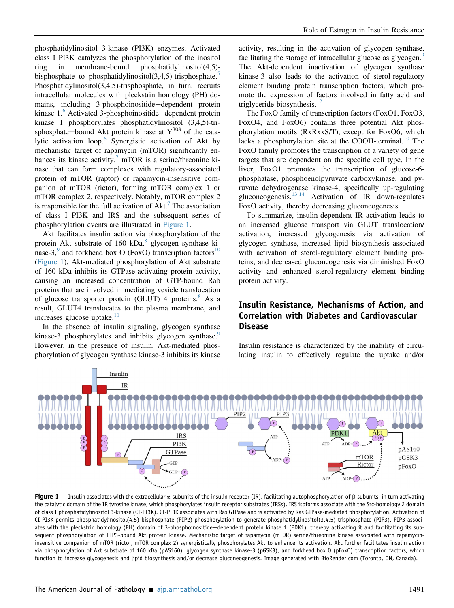phosphatidylinositol 3-kinase (PI3K) enzymes. Activated class I PI3K catalyzes the phosphorylation of the inositol ring in membrane-bound phosphatidylinositol(4,5) bisphosphate to phosphatidylinositol $(3,4,5)$  $(3,4,5)$  $(3,4,5)$ -trisphosphate.<sup>5</sup> Phosphatidylinositol(3,4,5)-trisphosphate, in turn, recruits intracellular molecules with pleckstrin homology (PH) domains, including 3-phosphoinositide-dependent protein kinase  $1<sup>6</sup>$  $1<sup>6</sup>$  $1<sup>6</sup>$  Activated 3-phosphoinositide—dependent protein kinase 1 phosphorylates phosphatidylinositol (3,4,5)-trisphosphate—bound Akt protein kinase at  $Y^{308}$  of the cata-lytic activation loop.<sup>[6](#page-6-5)</sup> Synergistic activation of Akt by mechanistic target of rapamycin (mTOR) significantly enhances its kinase activity.<sup> $\prime$ </sup> mTOR is a serine/threonine kinase that can form complexes with regulatory-associated protein of mTOR (raptor) or rapamycin-insensitive companion of mTOR (rictor), forming mTOR complex 1 or mTOR complex 2, respectively. Notably, mTOR complex 2 is responsible for the full activation of  $\Delta$ kt.<sup>[7](#page-6-6)</sup> The association of class I PI3K and IRS and the subsequent series of phosphorylation events are illustrated in [Figure 1](#page-1-0).

Akt facilitates insulin action via phosphorylation of the protein Akt substrate of  $160 kDa$ <sup>[8](#page-6-7)</sup> glycogen synthase ki-nase-3,<sup>[9](#page-6-8)</sup> and forkhead box O (FoxO) transcription factors<sup>10</sup> [\(Figure 1\)](#page-1-0). Akt-mediated phosphorylation of Akt substrate of 160 kDa inhibits its GTPase-activating protein activity, causing an increased concentration of GTP-bound Rab proteins that are involved in mediating vesicle translocation of glucose transporter protein (GLUT) 4 proteins.<sup>[8](#page-6-7)</sup> As a result, GLUT4 translocates to the plasma membrane, and increases glucose uptake.<sup>[11](#page-6-10)</sup>

In the absence of insulin signaling, glycogen synthase kinase-3 phosphorylates and inhibits glycogen synthase. However, in the presence of insulin, Akt-mediated phosphorylation of glycogen synthase kinase-3 inhibits its kinase

activity, resulting in the activation of glycogen synthase, facilitating the storage of intracellular glucose as glycogen.<sup>[9](#page-6-8)</sup> The Akt-dependent inactivation of glycogen synthase kinase-3 also leads to the activation of sterol-regulatory element binding protein transcription factors, which promote the expression of factors involved in fatty acid and triglyceride biosynthesis. $12$ 

The FoxO family of transcription factors (FoxO1, FoxO3, FoxO4, and FoxO6) contains three potential Akt phosphorylation motifs (RxRxxS/T), except for FoxO6, which lacks a phosphorylation site at the COOH-terminal.<sup>[10](#page-6-9)</sup> The FoxO family promotes the transcription of a variety of gene targets that are dependent on the specific cell type. In the liver, FoxO1 promotes the transcription of glucose-6 phosphatase, phosphoenolpyruvate carboxykinase, and pyruvate dehydrogenase kinase-4, specifically up-regulating gluconeogenesis. $13,14$  $13,14$  Activation of IR down-regulates FoxO activity, thereby decreasing gluconeogenesis.

To summarize, insulin-dependent IR activation leads to an increased glucose transport via GLUT translocation/ activation, increased glycogenesis via activation of glycogen synthase, increased lipid biosynthesis associated with activation of sterol-regulatory element binding proteins, and decreased gluconeogenesis via diminished FoxO activity and enhanced sterol-regulatory element binding protein activity.

## Insulin Resistance, Mechanisms of Action, and Correlation with Diabetes and Cardiovascular Disease

Insulin resistance is characterized by the inability of circulating insulin to effectively regulate the uptake and/or

<span id="page-1-0"></span>

Figure 1 Insulin associates with the extracellular  $\alpha$ -subunits of the insulin receptor (IR), facilitating autophosphorylation of  $\beta$ -subunits, in turn activating the catalytic domain of the IR tyrosine kinase, which phosphorylates insulin receptor substrates (IRSs). IRS isoforms associate with the Src-homology 2 domain of class I phosphatidylinositol 3-kinase (CI-PI3K). CI-PI3K associates with Ras GTPase and is activated by Ras GTPase-mediated phosphorylation. Activation of CI-PI3K permits phosphatidylinositol(4,5)-bisphosphate (PIP2) phosphorylation to generate phosphatidylinositol(3,4,5)-trisphosphate (PIP3). PIP3 associates with the pleckstrin homology (PH) domain of 3-phosphoinositide—dependent protein kinase 1 (PDK1), thereby activating it and facilitating its subsequent phosphorylation of PIP3-bound Akt protein kinase. Mechanistic target of rapamycin (mTOR) serine/threonine kinase associated with rapamycininsensitive companion of mTOR (rictor; mTOR complex 2) synergistically phosphorylates Akt to enhance its activation. Akt further facilitates insulin action via phosphorylation of Akt substrate of 160 kDa (pAS160), glycogen synthase kinase-3 (pGSK3), and forkhead box O (pFoxO) transcription factors, which function to increase glycogenesis and lipid biosynthesis and/or decrease gluconeogenesis. Image generated with BioRender.com (Toronto, ON, Canada).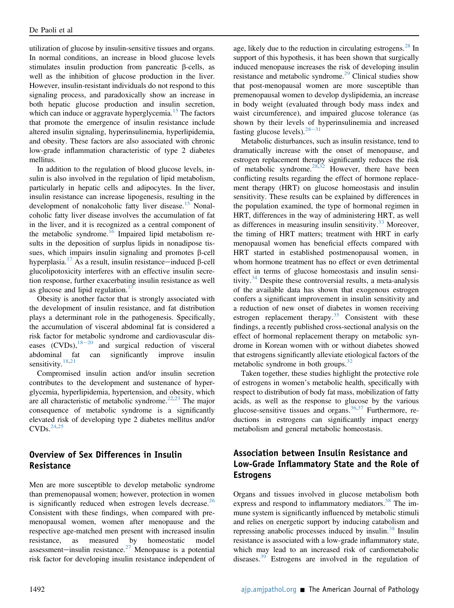utilization of glucose by insulin-sensitive tissues and organs. In normal conditions, an increase in blood glucose levels stimulates insulin production from pancreatic  $\beta$ -cells, as well as the inhibition of glucose production in the liver. However, insulin-resistant individuals do not respond to this signaling process, and paradoxically show an increase in both hepatic glucose production and insulin secretion, which can induce or aggravate hyperglycemia.<sup>[15](#page-6-14)</sup> The factors that promote the emergence of insulin resistance include altered insulin signaling, hyperinsulinemia, hyperlipidemia, and obesity. These factors are also associated with chronic low-grade inflammation characteristic of type 2 diabetes mellitus.

In addition to the regulation of blood glucose levels, insulin is also involved in the regulation of lipid metabolism, particularly in hepatic cells and adipocytes. In the liver, insulin resistance can increase lipogenesis, resulting in the development of nonalcoholic fatty liver disease.<sup>[15](#page-6-14)</sup> Nonalcoholic fatty liver disease involves the accumulation of fat in the liver, and it is recognized as a central component of the metabolic syndrome.<sup>[16](#page-6-15)</sup> Impaired lipid metabolism results in the deposition of surplus lipids in nonadipose tissues, which impairs insulin signaling and promotes  $\beta$ -cell hyperplasia.<sup>[17](#page-6-16)</sup> As a result, insulin resistance—induced  $\beta$ -cell glucolipotoxicity interferes with an effective insulin secretion response, further exacerbating insulin resistance as well as glucose and lipid regulation.<sup>[17](#page-6-16)</sup>

Obesity is another factor that is strongly associated with the development of insulin resistance, and fat distribution plays a determinant role in the pathogenesis. Specifically, the accumulation of visceral abdominal fat is considered a risk factor for metabolic syndrome and cardiovascular diseases  $(CVDs)$ ,  $18-20$  $18-20$  $18-20$  and surgical reduction of visceral abdominal fat can significantly improve insulin sensitivity.<sup>[18](#page-6-17)[,21](#page-6-18)</sup>

Compromised insulin action and/or insulin secretion contributes to the development and sustenance of hyperglycemia, hyperlipidemia, hypertension, and obesity, which are all characteristic of metabolic syndrome. $22,23$  $22,23$  The major consequence of metabolic syndrome is a significantly elevated risk of developing type 2 diabetes mellitus and/or  $CVDs. <sup>24,25</sup>$  $CVDs. <sup>24,25</sup>$  $CVDs. <sup>24,25</sup>$  $CVDs. <sup>24,25</sup>$ 

#### Overview of Sex Differences in Insulin Resistance

Men are more susceptible to develop metabolic syndrome than premenopausal women; however, protection in women is significantly reduced when estrogen levels decrease.<sup>[26](#page-6-23)</sup> Consistent with these findings, when compared with premenopausal women, women after menopause and the respective age-matched men present with increased insulin resistance, as measured by homeostatic model assessment-insulin resistance.<sup>[27](#page-6-24)</sup> Menopause is a potential risk factor for developing insulin resistance independent of age, likely due to the reduction in circulating estrogens. $^{28}$  $^{28}$  $^{28}$  In support of this hypothesis, it has been shown that surgically induced menopause increases the risk of developing insulin resistance and metabolic syndrome.<sup>[29](#page-7-1)</sup> Clinical studies show that post-menopausal women are more susceptible than premenopausal women to develop dyslipidemia, an increase in body weight (evaluated through body mass index and waist circumference), and impaired glucose tolerance (as shown by their levels of hyperinsulinemia and increased fasting glucose levels).  $28-31$  $28-31$  $28-31$ 

Metabolic disturbances, such as insulin resistance, tend to dramatically increase with the onset of menopause, and estrogen replacement therapy significantly reduces the risk of metabolic syndrome. $28,32$  $28,32$  However, there have been conflicting results regarding the effect of hormone replacement therapy (HRT) on glucose homeostasis and insulin sensitivity. These results can be explained by differences in the population examined, the type of hormonal regimen in HRT, differences in the way of administering HRT, as well as differences in measuring insulin sensitivity. $33$  Moreover, the timing of HRT matters; treatment with HRT in early menopausal women has beneficial effects compared with HRT started in established postmenopausal women, in whom hormone treatment has no effect or even detrimental effect in terms of glucose homeostasis and insulin sensitivity. $34$  Despite these controversial results, a meta-analysis of the available data has shown that exogenous estrogen confers a significant improvement in insulin sensitivity and a reduction of new onset of diabetes in women receiving estrogen replacement therapy.<sup>[35](#page-7-5)</sup> Consistent with these findings, a recently published cross-sectional analysis on the effect of hormonal replacement therapy on metabolic syndrome in Korean women with or without diabetes showed that estrogens significantly alleviate etiological factors of the metabolic syndrome in both groups. $32$ 

Taken together, these studies highlight the protective role of estrogens in women's metabolic health, specifically with respect to distribution of body fat mass, mobilization of fatty acids, as well as the response to glucose by the various glucose-sensitive tissues and organs.[36](#page-7-6)[,37](#page-7-7) Furthermore, reductions in estrogens can significantly impact energy metabolism and general metabolic homeostasis.

## Association between Insulin Resistance and Low-Grade Inflammatory State and the Role of Estrogens

Organs and tissues involved in glucose metabolism both express and respond to inflammatory mediators.<sup>[38](#page-7-8)</sup> The immune system is significantly influenced by metabolic stimuli and relies on energetic support by inducing catabolism and repressing anabolic processes induced by insulin.<sup>[38](#page-7-8)</sup> Insulin resistance is associated with a low-grade inflammatory state, which may lead to an increased risk of cardiometabolic diseases. $39$  Estrogens are involved in the regulation of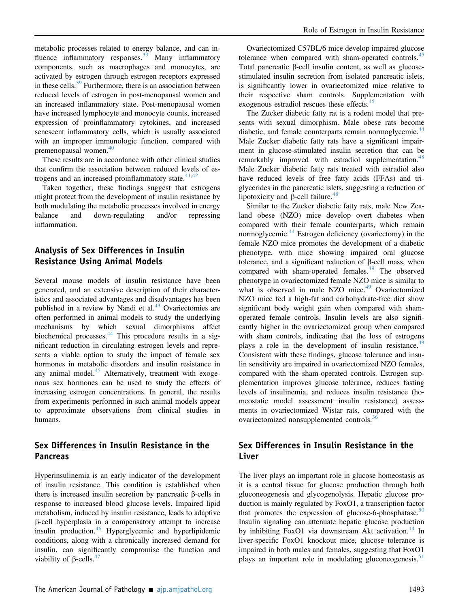metabolic processes related to energy balance, and can in-fluence inflammatory responses.<sup>[39](#page-7-9)</sup> Many inflammatory components, such as macrophages and monocytes, are activated by estrogen through estrogen receptors expressed in these cells. $39$  Furthermore, there is an association between reduced levels of estrogen in post-menopausal women and an increased inflammatory state. Post-menopausal women have increased lymphocyte and monocyte counts, increased expression of proinflammatory cytokines, and increased senescent inflammatory cells, which is usually associated with an improper immunologic function, compared with premenopausal women. $40$ 

These results are in accordance with other clinical studies that confirm the association between reduced levels of estrogens and an increased proinflammatory state. $41,42$  $41,42$ 

Taken together, these findings suggest that estrogens might protect from the development of insulin resistance by both modulating the metabolic processes involved in energy balance and down-regulating and/or repressing inflammation.

#### Analysis of Sex Differences in Insulin Resistance Using Animal Models

Several mouse models of insulin resistance have been generated, and an extensive description of their characteristics and associated advantages and disadvantages has been published in a review by Nandi et al. $43$  Ovariectomies are often performed in animal models to study the underlying mechanisms by which sexual dimorphisms affect biochemical processes.<sup>[44](#page-7-14)</sup> This procedure results in a significant reduction in circulating estrogen levels and represents a viable option to study the impact of female sex hormones in metabolic disorders and insulin resistance in any animal model.<sup>[45](#page-7-15)</sup> Alternatively, treatment with exogenous sex hormones can be used to study the effects of increasing estrogen concentrations. In general, the results from experiments performed in such animal models appear to approximate observations from clinical studies in humans.

## Sex Differences in Insulin Resistance in the **Pancreas**

Hyperinsulinemia is an early indicator of the development of insulin resistance. This condition is established when there is increased insulin secretion by pancreatic  $\beta$ -cells in response to increased blood glucose levels. Impaired lipid metabolism, induced by insulin resistance, leads to adaptive b-cell hyperplasia in a compensatory attempt to increase insulin production.<sup>[46](#page-7-16)</sup> Hyperglycemic and hyperlipidemic conditions, along with a chronically increased demand for insulin, can significantly compromise the function and viability of  $\beta$ -cells.<sup>[47](#page-7-17)</sup>

Ovariectomized C57BL/6 mice develop impaired glucose tolerance when compared with sham-operated controls.<sup>[45](#page-7-15)</sup> Total pancreatic  $\beta$ -cell insulin content, as well as glucosestimulated insulin secretion from isolated pancreatic islets, is significantly lower in ovariectomized mice relative to their respective sham controls. Supplementation with exogenous estradiol rescues these effects.<sup>[45](#page-7-15)</sup>

The Zucker diabetic fatty rat is a rodent model that presents with sexual dimorphism. Male obese rats become diabetic, and female counterparts remain normoglycemic.<sup>[44](#page-7-14)</sup> Male Zucker diabetic fatty rats have a significant impairment in glucose-stimulated insulin secretion that can be remarkably improved with estradiol supplementation.<sup>[48](#page-7-18)</sup> Male Zucker diabetic fatty rats treated with estradiol also have reduced levels of free fatty acids (FFAs) and triglycerides in the pancreatic islets, suggesting a reduction of lipotoxicity and  $\beta$ -cell failure.<sup>[48](#page-7-18)</sup>

Similar to the Zucker diabetic fatty rats, male New Zealand obese (NZO) mice develop overt diabetes when compared with their female counterparts, which remain normoglycemic.<sup>[44](#page-7-14)</sup> Estrogen deficiency (ovariectomy) in the female NZO mice promotes the development of a diabetic phenotype, with mice showing impaired oral glucose tolerance, and a significant reduction of  $\beta$ -cell mass, when compared with sham-operated females.<sup>[49](#page-7-19)</sup> The observed phenotype in ovariectomized female NZO mice is similar to what is observed in male NZO mice.<sup>[49](#page-7-19)</sup> Ovariectomized NZO mice fed a high-fat and carbohydrate-free diet show significant body weight gain when compared with shamoperated female controls. Insulin levels are also significantly higher in the ovariectomized group when compared with sham controls, indicating that the loss of estrogens plays a role in the development of insulin resistance.<sup>[49](#page-7-19)</sup> Consistent with these findings, glucose tolerance and insulin sensitivity are impaired in ovariectomized NZO females, compared with the sham-operated controls. Estrogen supplementation improves glucose tolerance, reduces fasting levels of insulinemia, and reduces insulin resistance (homeostatic model assessment-insulin resistance) assessments in ovariectomized Wistar rats, compared with the ovariectomized nonsupplemented controls.<sup>[36](#page-7-6)</sup>

## Sex Differences in Insulin Resistance in the Liver

The liver plays an important role in glucose homeostasis as it is a central tissue for glucose production through both gluconeogenesis and glycogenolysis. Hepatic glucose production is mainly regulated by FoxO1, a transcription factor that promotes the expression of glucose-6-phosphatase.<sup>50</sup> Insulin signaling can attenuate hepatic glucose production by inhibiting FoxO1 via downstream Akt activation.<sup>[14](#page-6-13)</sup> In liver-specific FoxO1 knockout mice, glucose tolerance is impaired in both males and females, suggesting that FoxO1 plays an important role in modulating glucone ogenesis.<sup>51</sup>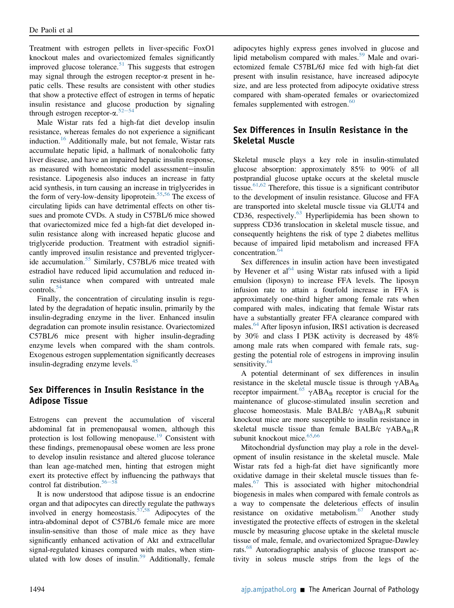Treatment with estrogen pellets in liver-specific FoxO1 knockout males and ovariectomized females significantly improved glucose tolerance.<sup>[51](#page-7-21)</sup> This suggests that estrogen may signal through the estrogen receptor- $\alpha$  present in hepatic cells. These results are consistent with other studies that show a protective effect of estrogen in terms of hepatic insulin resistance and glucose production by signaling through estrogen receptor- $\alpha$ .<sup>[52](#page-7-22)–[54](#page-7-22)</sup><br>Male Wistar rats fed a high

Male Wistar rats fed a high-fat diet develop insulin resistance, whereas females do not experience a significant induction.[16](#page-6-15) Additionally male, but not female, Wistar rats accumulate hepatic lipid, a hallmark of nonalcoholic fatty liver disease, and have an impaired hepatic insulin response, as measured with homeostatic model assessment-insulin resistance. Lipogenesis also induces an increase in fatty acid synthesis, in turn causing an increase in triglycerides in the form of very-low-density lipoprotein.<sup>[55](#page-7-23)[,56](#page-7-24)</sup> The excess of circulating lipids can have detrimental effects on other tissues and promote CVDs. A study in C57BL/6 mice showed that ovariectomized mice fed a high-fat diet developed insulin resistance along with increased hepatic glucose and triglyceride production. Treatment with estradiol significantly improved insulin resistance and prevented triglyceride accumulation.[55](#page-7-23) Similarly, C57BL/6 mice treated with estradiol have reduced lipid accumulation and reduced insulin resistance when compared with untreated male controls.[54](#page-7-25)

Finally, the concentration of circulating insulin is regulated by the degradation of hepatic insulin, primarily by the insulin-degrading enzyme in the liver. Enhanced insulin degradation can promote insulin resistance. Ovariectomized C57BL/6 mice present with higher insulin-degrading enzyme levels when compared with the sham controls. Exogenous estrogen supplementation significantly decreases insulin-degrading enzyme levels.<sup>45</sup>

#### Sex Differences in Insulin Resistance in the Adipose Tissue

Estrogens can prevent the accumulation of visceral abdominal fat in premenopausal women, although this protection is lost following menopause.<sup>[19](#page-6-25)</sup> Consistent with these findings, premenopausal obese women are less prone to develop insulin resistance and altered glucose tolerance than lean age-matched men, hinting that estrogen might exert its protective effect by influencing the pathways that control fat distribution.<sup>[56](#page-7-24)-5</sup>

It is now understood that adipose tissue is an endocrine organ and that adipocytes can directly regulate the pathways involved in energy homeostasis.[57,](#page-7-26)[58](#page-7-27) Adipocytes of the intra-abdominal depot of C57BL/6 female mice are more insulin-sensitive than those of male mice as they have significantly enhanced activation of Akt and extracellular signal-regulated kinases compared with males, when stim-ulated with low doses of insulin.<sup>[59](#page-7-28)</sup> Additionally, female adipocytes highly express genes involved in glucose and lipid metabolism compared with males.<sup>[59](#page-7-28)</sup> Male and ovariectomized female C57BL/6J mice fed with high-fat diet present with insulin resistance, have increased adipocyte size, and are less protected from adipocyte oxidative stress compared with sham-operated females or ovariectomized females supplemented with estrogen. $60$ 

## Sex Differences in Insulin Resistance in the Skeletal Muscle

Skeletal muscle plays a key role in insulin-stimulated glucose absorption: approximately 85% to 90% of all postprandial glucose uptake occurs at the skeletal muscle tissue.<sup>[61](#page-7-30)[,62](#page-7-31)</sup> Therefore, this tissue is a significant contributor to the development of insulin resistance. Glucose and FFA are transported into skeletal muscle tissue via GLUT4 and CD36, respectively.<sup>[63](#page-7-32)</sup> Hyperlipidemia has been shown to suppress CD36 translocation in skeletal muscle tissue, and consequently heightens the risk of type 2 diabetes mellitus because of impaired lipid metabolism and increased FFA concentration.<sup>[64](#page-8-0)</sup>

Sex differences in insulin action have been investigated by Hevener et  $al^{64}$  using Wistar rats infused with a lipid emulsion (liposyn) to increase FFA levels. The liposyn infusion rate to attain a fourfold increase in FFA is approximately one-third higher among female rats when compared with males, indicating that female Wistar rats have a substantially greater FFA clearance compared with males.<sup>[64](#page-8-0)</sup> After liposyn infusion, IRS1 activation is decreased by 30% and class I PI3K activity is decreased by 48% among male rats when compared with female rats, suggesting the potential role of estrogens in improving insulin sensitivity.<sup>6</sup>

A potential determinant of sex differences in insulin resistance in the skeletal muscle tissue is through  $\gamma ABA_B$ <br>receptor impairment  $^{65}$   $\gamma ABA_B$  receptor is crucial for the receptor impairment.<sup>[65](#page-8-1)</sup>  $\gamma ABA_B$  receptor is crucial for the maintenance of glucose-stimulated insulin secretion and maintenance of glucose-stimulated insulin secretion and glucose homeostasis. Male BALB/c  $\gamma ABA_{B1}R$  subunit knockout mice are more susceptible to insulin resistance in skeletal muscle tissue than female BALB/c  $\gamma A B A_{B1} R$ subunit knockout mice. $65,66$  $65,66$ 

Mitochondrial dysfunction may play a role in the development of insulin resistance in the skeletal muscle. Male Wistar rats fed a high-fat diet have significantly more oxidative damage in their skeletal muscle tissues than fe-males.<sup>[67](#page-8-3)</sup> This is associated with higher mitochondrial biogenesis in males when compared with female controls as a way to compensate the deleterious effects of insulin resistance on oxidative metabolism.<sup>[67](#page-8-3)</sup> Another study investigated the protective effects of estrogen in the skeletal muscle by measuring glucose uptake in the skeletal muscle tissue of male, female, and ovariectomized Sprague-Dawley rats.[68](#page-8-4) Autoradiographic analysis of glucose transport activity in soleus muscle strips from the legs of the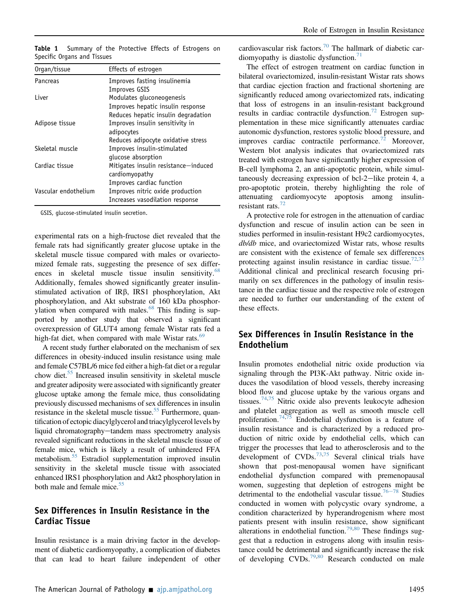| Organ/tissue         | Effects of estrogen                  |
|----------------------|--------------------------------------|
| Pancreas             | Improves fasting insulinemia         |
|                      | Improves GSIS                        |
| I iver               | Modulates gluconeogenesis            |
|                      | Improves hepatic insulin response    |
|                      | Reduces hepatic insulin degradation  |
| Adipose tissue       | Improves insulin sensitivity in      |
|                      | adipocytes                           |
|                      | Reduces adipocyte oxidative stress   |
| Skeletal muscle      | Improves insulin-stimulated          |
|                      | glucose absorption                   |
| Cardiac tissue       | Mitigates insulin resistance—induced |
|                      | cardiomyopathy                       |
|                      | Improves cardiac function            |
| Vascular endothelium | Improves nitric oxide production     |
|                      | Increases vasodilation response      |

<span id="page-5-0"></span>Table 1 Summary of the Protective Effects of Estrogens on Specific Organs and Tissues

GSIS, glucose-stimulated insulin secretion.

experimental rats on a high-fructose diet revealed that the female rats had significantly greater glucose uptake in the skeletal muscle tissue compared with males or ovariectomized female rats, suggesting the presence of sex differences in skeletal muscle tissue insulin sensitivity. $68$ Additionally, females showed significantly greater insulinstimulated activation of IRb, IRS1 phosphorylation, Akt phosphorylation, and Akt substrate of 160 kDa phosphorylation when compared with males. $68$  This finding is supported by another study that observed a significant overexpression of GLUT4 among female Wistar rats fed a high-fat diet, when compared with male Wistar rats.<sup>[69](#page-8-5)</sup>

A recent study further elaborated on the mechanism of sex differences in obesity-induced insulin resistance using male and female C57BL/6 mice fed either a high-fat diet or a regular chow diet.<sup>[55](#page-7-23)</sup> Increased insulin sensitivity in skeletal muscle and greater adiposity were associated with significantly greater glucose uptake among the female mice, thus consolidating previously discussed mechanisms of sex differences in insulin resistance in the skeletal muscle tissue.<sup>[55](#page-7-23)</sup> Furthermore, quantification of ectopic diacylglycerol and triacylglycerol levels by liquid chromatography—tandem mass spectrometry analysis revealed significant reductions in the skeletal muscle tissue of female mice, which is likely a result of unhindered FFA metabolism[.55](#page-7-23) Estradiol supplementation improved insulin sensitivity in the skeletal muscle tissue with associated enhanced IRS1 phosphorylation and Akt2 phosphorylation in both male and female mice.<sup>[55](#page-7-23)</sup>

#### Sex Differences in Insulin Resistance in the Cardiac Tissue

Insulin resistance is a main driving factor in the development of diabetic cardiomyopathy, a complication of diabetes that can lead to heart failure independent of other cardiovascular risk factors.<sup>[70](#page-8-6)</sup> The hallmark of diabetic car-diomyopathy is diastolic dysfunction.<sup>[71](#page-8-7)</sup>

The effect of estrogen treatment on cardiac function in bilateral ovariectomized, insulin-resistant Wistar rats shows that cardiac ejection fraction and fractional shortening are significantly reduced among ovariectomized rats, indicating that loss of estrogens in an insulin-resistant background results in cardiac contractile dysfunction.<sup>[72](#page-8-8)</sup> Estrogen supplementation in these mice significantly attenuates cardiac autonomic dysfunction, restores systolic blood pressure, and improves cardiac contractile performance.<sup>[72](#page-8-8)</sup> Moreover, Western blot analysis indicates that ovariectomized rats treated with estrogen have significantly higher expression of B-cell lymphoma 2, an anti-apoptotic protein, while simultaneously decreasing expression of bcl-2-like protein 4, a pro-apoptotic protein, thereby highlighting the role of attenuating cardiomyocyte apoptosis among insulinresistant rats. $72$ 

A protective role for estrogen in the attenuation of cardiac dysfunction and rescue of insulin action can be seen in studies performed in insulin-resistant H9c2 cardiomyocytes, db/db mice, and ovariectomized Wistar rats, whose results are consistent with the existence of female sex differences protecting against insulin resistance in cardiac tissue.<sup>72,[73](#page-8-9)</sup> Additional clinical and preclinical research focusing primarily on sex differences in the pathology of insulin resistance in the cardiac tissue and the respective role of estrogen are needed to further our understanding of the extent of these effects.

#### Sex Differences in Insulin Resistance in the Endothelium

Insulin promotes endothelial nitric oxide production via signaling through the PI3K-Akt pathway. Nitric oxide induces the vasodilation of blood vessels, thereby increasing blood flow and glucose uptake by the various organs and tissues.[74](#page-8-10),[75](#page-8-11) Nitric oxide also prevents leukocyte adhesion and platelet aggregation as well as smooth muscle cell proliferation.<sup>[74](#page-8-10),[75](#page-8-11)</sup> Endothelial dysfunction is a feature of insulin resistance and is characterized by a reduced production of nitric oxide by endothelial cells, which can trigger the processes that lead to atherosclerosis and to the development of  $CVDs$ <sup>[73,](#page-8-9)[75](#page-8-11)</sup> Several clinical trials have shown that post-menopausal women have significant endothelial dysfunction compared with premenopausal women, suggesting that depletion of estrogens might be detrimental to the endothelial vascular tissue.<sup>[76](#page-8-12)–[78](#page-8-12)</sup> Studies conducted in women with polycystic ovary syndrome, a condition characterized by hyperandrogenism where most patients present with insulin resistance, show significant alterations in endothelial function.<sup>[79](#page-8-13),[80](#page-8-14)</sup> These findings suggest that a reduction in estrogens along with insulin resistance could be detrimental and significantly increase the risk of developing  $CVDs$ <sup>[79](#page-8-13)[,80](#page-8-14)</sup> Research conducted on male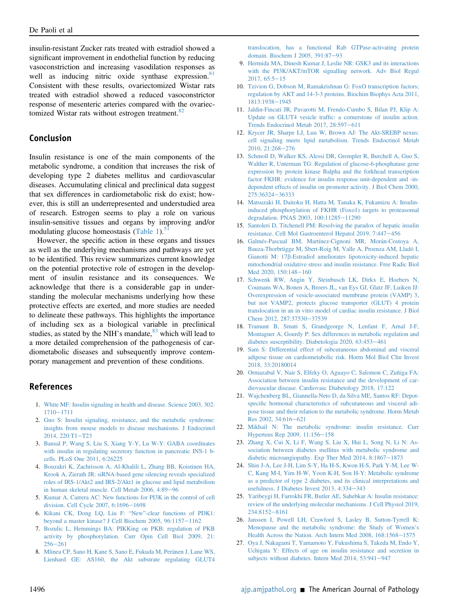insulin-resistant Zucker rats treated with estradiol showed a significant improvement in endothelial function by reducing vasoconstriction and increasing vasodilation responses as well as inducing nitric oxide synthase expression.<sup>[81](#page-8-15)</sup> Consistent with these results, ovariectomized Wistar rats treated with estradiol showed a reduced vasoconstrictor response of mesenteric arteries compared with the ovariec-tomized Wistar rats without estrogen treatment.<sup>[82](#page-8-16)</sup>

#### Conclusion

Insulin resistance is one of the main components of the metabolic syndrome, a condition that increases the risk of developing type 2 diabetes mellitus and cardiovascular diseases. Accumulating clinical and preclinical data suggest that sex differences in cardiometabolic risk do exist; however, this is still an underrepresented and understudied area of research. Estrogen seems to play a role on various insulin-sensitive tissues and organs by improving and/or modulating glucose homeostasis ([Table 1\)](#page-5-0). $51$ 

However, the specific action in these organs and tissues as well as the underlying mechanisms and pathways are yet to be identified. This review summarizes current knowledge on the potential protective role of estrogen in the development of insulin resistance and its consequences. We acknowledge that there is a considerable gap in understanding the molecular mechanisms underlying how these protective effects are exerted, and more studies are needed to delineate these pathways. This highlights the importance of including sex as a biological variable in preclinical studies, as stated by the NIH's mandate, $83$  which will lead to a more detailed comprehension of the pathogenesis of cardiometabolic diseases and subsequently improve contemporary management and prevention of these conditions.

#### <span id="page-6-0"></span>References

- <span id="page-6-1"></span>1. [White MF: Insulin signaling in health and disease. Science 2003, 302:](http://refhub.elsevier.com/S0002-9440(21)00245-5/sref1) [1710](http://refhub.elsevier.com/S0002-9440(21)00245-5/sref1)-[1711](http://refhub.elsevier.com/S0002-9440(21)00245-5/sref1)
- <span id="page-6-2"></span>2. [Guo S: Insulin signaling, resistance, and the metabolic syndrome:](http://refhub.elsevier.com/S0002-9440(21)00245-5/sref2) [insights from mouse models to disease mechanisms. J Endocrinol](http://refhub.elsevier.com/S0002-9440(21)00245-5/sref2) [2014, 220:T1](http://refhub.elsevier.com/S0002-9440(21)00245-5/sref2)-[T23](http://refhub.elsevier.com/S0002-9440(21)00245-5/sref2)
- <span id="page-6-3"></span>3. [Bansal P, Wang S, Liu S, Xiang Y-Y, Lu W-Y: GABA coordinates](http://refhub.elsevier.com/S0002-9440(21)00245-5/sref3) [with insulin in regulating secretory function in pancreatic INS-1 b](http://refhub.elsevier.com/S0002-9440(21)00245-5/sref3)[cells. PLoS One 2011, 6:26225](http://refhub.elsevier.com/S0002-9440(21)00245-5/sref3)
- 4. [Bouzakri K, Zachrisson A, Al-Khalili L, Zhang BB, Koistinen HA,](http://refhub.elsevier.com/S0002-9440(21)00245-5/sref4) [Krook A, Zierath JR: siRNA-based gene silencing reveals specialized](http://refhub.elsevier.com/S0002-9440(21)00245-5/sref4) [roles of IRS-1/Akt2 and IRS-2/Akt1 in glucose and lipid metabolism](http://refhub.elsevier.com/S0002-9440(21)00245-5/sref4) [in human skeletal muscle. Cell Metab 2006, 4:89](http://refhub.elsevier.com/S0002-9440(21)00245-5/sref4)-[96](http://refhub.elsevier.com/S0002-9440(21)00245-5/sref4)
- <span id="page-6-5"></span><span id="page-6-4"></span>5. [Kumar A, Carrera AC: New functions for PI3K in the control of cell](http://refhub.elsevier.com/S0002-9440(21)00245-5/sref5) [division. Cell Cycle 2007, 6:1696](http://refhub.elsevier.com/S0002-9440(21)00245-5/sref5)-[1698](http://refhub.elsevier.com/S0002-9440(21)00245-5/sref5)
- <span id="page-6-6"></span>6. [Kikani CK, Dong LQ, Liu F:](http://refhub.elsevier.com/S0002-9440(21)00245-5/sref6) "New"-clear functions of PDK1: [beyond a master kinase? J Cell Biochem 2005, 96:1157](http://refhub.elsevier.com/S0002-9440(21)00245-5/sref6)-[1162](http://refhub.elsevier.com/S0002-9440(21)00245-5/sref6)
- <span id="page-6-7"></span>7. [Bozulic L, Hemmings BA: PIKKing on PKB: regulation of PKB](http://refhub.elsevier.com/S0002-9440(21)00245-5/sref7) [activity by phosphorylation. Curr Opin Cell Biol 2009, 21:](http://refhub.elsevier.com/S0002-9440(21)00245-5/sref7)  $256 - 261$  $256 - 261$  $256 - 261$
- 8. [Mîinea CP, Sano H, Kane S, Sano E, Fukuda M, Peränen J, Lane WS,](http://refhub.elsevier.com/S0002-9440(21)00245-5/sref8) [Lienhard GE: AS160, the Akt substrate regulating GLUT4](http://refhub.elsevier.com/S0002-9440(21)00245-5/sref8)

[translocation, has a functional Rab GTPase-activating protein](http://refhub.elsevier.com/S0002-9440(21)00245-5/sref8) [domain. Biochem J 2005, 391:87](http://refhub.elsevier.com/S0002-9440(21)00245-5/sref8)-[93](http://refhub.elsevier.com/S0002-9440(21)00245-5/sref8)

- <span id="page-6-8"></span>9. [Hermida MA, Dinesh Kumar J, Leslie NR: GSK3 and its interactions](http://refhub.elsevier.com/S0002-9440(21)00245-5/sref9) [with the PI3K/AKT/mTOR signalling network. Adv Biol Regul](http://refhub.elsevier.com/S0002-9440(21)00245-5/sref9)  $2017, 65:5-15$  $2017, 65:5-15$  $2017, 65:5-15$
- <span id="page-6-9"></span>10. [Tzivion G, Dobson M, Ramakrishnan G: FoxO transcription factors;](http://refhub.elsevier.com/S0002-9440(21)00245-5/sref10) [regulation by AKT and 14-3-3 proteins. Biochim Biophys Acta 2011,](http://refhub.elsevier.com/S0002-9440(21)00245-5/sref10) [1813:1938](http://refhub.elsevier.com/S0002-9440(21)00245-5/sref10)-[1945](http://refhub.elsevier.com/S0002-9440(21)00245-5/sref10)
- <span id="page-6-10"></span>11. [Jaldin-Fincati JR, Pavarotti M, Frendo-Cumbo S, Bilan PJ, Klip A:](http://refhub.elsevier.com/S0002-9440(21)00245-5/sref11) Update on GLUT4 vesicle traffi[c: a cornerstone of insulin action.](http://refhub.elsevier.com/S0002-9440(21)00245-5/sref11) [Trends Endocrinol Metab 2017, 28:597](http://refhub.elsevier.com/S0002-9440(21)00245-5/sref11)-[611](http://refhub.elsevier.com/S0002-9440(21)00245-5/sref11)
- <span id="page-6-11"></span>12. [Krycer JR, Sharpe LJ, Luu W, Brown AJ: The Akt-SREBP nexus:](http://refhub.elsevier.com/S0002-9440(21)00245-5/sref12) [cell signaling meets lipid metabolism. Trends Endocrinol Metab](http://refhub.elsevier.com/S0002-9440(21)00245-5/sref12) [2010, 21:268](http://refhub.elsevier.com/S0002-9440(21)00245-5/sref12)-[276](http://refhub.elsevier.com/S0002-9440(21)00245-5/sref12)
- <span id="page-6-12"></span>13. [Schmoll D, Walker KS, Alessi DR, Grempler R, Burchell A, Guo S,](http://refhub.elsevier.com/S0002-9440(21)00245-5/sref13) [Walther R, Unterman TG: Regulation of glucose-6-phosphatase gene](http://refhub.elsevier.com/S0002-9440(21)00245-5/sref13) [expression by protein kinase Balpha and the forkhead transcription](http://refhub.elsevier.com/S0002-9440(21)00245-5/sref13) [factor FKHR: evidence for insulin response unit-dependent and -in](http://refhub.elsevier.com/S0002-9440(21)00245-5/sref13)[dependent effects of insulin on promoter activity. J Biol Chem 2000,](http://refhub.elsevier.com/S0002-9440(21)00245-5/sref13) [275:36324](http://refhub.elsevier.com/S0002-9440(21)00245-5/sref13)-[36333](http://refhub.elsevier.com/S0002-9440(21)00245-5/sref13)
- <span id="page-6-13"></span>14. [Matsuzaki H, Daitoku H, Hatta M, Tanaka K, Fukamizu A: Insulin](http://refhub.elsevier.com/S0002-9440(21)00245-5/sref14)[induced phosphorylation of FKHR \(Foxo1\) targets to proteasomal](http://refhub.elsevier.com/S0002-9440(21)00245-5/sref14) [degradation. PNAS 2003, 100:11285](http://refhub.elsevier.com/S0002-9440(21)00245-5/sref14)-[11290](http://refhub.elsevier.com/S0002-9440(21)00245-5/sref14)
- <span id="page-6-14"></span>15. [Santoleri D, Titchenell PM: Resolving the paradox of hepatic insulin](http://refhub.elsevier.com/S0002-9440(21)00245-5/sref15) [resistance. Cell Mol Gastroenterol Hepatol 2019, 7:447](http://refhub.elsevier.com/S0002-9440(21)00245-5/sref15)-[456](http://refhub.elsevier.com/S0002-9440(21)00245-5/sref15)
- <span id="page-6-15"></span>16. [Galmés-Pascual BM, Martínez-Cignoni MR, Morán-Costoya A,](http://refhub.elsevier.com/S0002-9440(21)00245-5/sref16) [Bauza-Thorbrügge M, Sbert-Roig M, Valle A, Proenza AM, Lladó I,](http://refhub.elsevier.com/S0002-9440(21)00245-5/sref16) Gianotti M: 17b[-Estradiol ameliorates lipotoxicity-induced hepatic](http://refhub.elsevier.com/S0002-9440(21)00245-5/sref16) [mitochondrial oxidative stress and insulin resistance. Free Radic Biol](http://refhub.elsevier.com/S0002-9440(21)00245-5/sref16) [Med 2020, 150:148](http://refhub.elsevier.com/S0002-9440(21)00245-5/sref16)-[160](http://refhub.elsevier.com/S0002-9440(21)00245-5/sref16)
- <span id="page-6-16"></span>17. [Schwenk RW, Angin Y, Steinbusch LK, Dirkx E, Hoebers N,](http://refhub.elsevier.com/S0002-9440(21)00245-5/sref17) [Coumans WA, Bonen A, Broers JL, van Eys GJ, Glatz JF, Luiken JJ:](http://refhub.elsevier.com/S0002-9440(21)00245-5/sref17) [Overexpression of vesicle-associated membrane protein \(VAMP\) 3,](http://refhub.elsevier.com/S0002-9440(21)00245-5/sref17) [but not VAMP2, protects glucose transporter \(GLUT\) 4 protein](http://refhub.elsevier.com/S0002-9440(21)00245-5/sref17) [translocation in an in vitro model of cardiac insulin resistance. J Biol](http://refhub.elsevier.com/S0002-9440(21)00245-5/sref17) [Chem 2012, 287:37530](http://refhub.elsevier.com/S0002-9440(21)00245-5/sref17)-[37539](http://refhub.elsevier.com/S0002-9440(21)00245-5/sref17)
- <span id="page-6-17"></span>18. [Tramunt B, Smati S, Grandgeorge N, Lenfant F, Arnal J-F,](http://refhub.elsevier.com/S0002-9440(21)00245-5/sref18) [Montagner A, Gourdy P: Sex differences in metabolic regulation and](http://refhub.elsevier.com/S0002-9440(21)00245-5/sref18) [diabetes susceptibility. Diabetologia 2020, 63:453](http://refhub.elsevier.com/S0002-9440(21)00245-5/sref18)-[461](http://refhub.elsevier.com/S0002-9440(21)00245-5/sref18)
- <span id="page-6-25"></span>19. [Sam S: Differential effect of subcutaneous abdominal and visceral](http://refhub.elsevier.com/S0002-9440(21)00245-5/sref19) [adipose tissue on cardiometabolic risk. Horm Mol Biol Clin Invest](http://refhub.elsevier.com/S0002-9440(21)00245-5/sref19) [2018, 33:20180014](http://refhub.elsevier.com/S0002-9440(21)00245-5/sref19)
- 20. [Ormazabal V, Nair S, Elfeky O, Aguayo C, Salomon C, Zuñiga FA:](http://refhub.elsevier.com/S0002-9440(21)00245-5/sref20) [Association between insulin resistance and the development of car](http://refhub.elsevier.com/S0002-9440(21)00245-5/sref20)[diovascular disease. Cardiovasc Diabetology 2018, 17:122](http://refhub.elsevier.com/S0002-9440(21)00245-5/sref20)
- <span id="page-6-18"></span>21. [Wajchenberg BL, Giannella-Neto D, da Silva ME, Santos RF: Depot](http://refhub.elsevier.com/S0002-9440(21)00245-5/sref21)specifi[c hormonal characteristics of subcutaneous and visceral adi](http://refhub.elsevier.com/S0002-9440(21)00245-5/sref21)[pose tissue and their relation to the metabolic syndrome. Horm Metab](http://refhub.elsevier.com/S0002-9440(21)00245-5/sref21) [Res 2002, 34:616](http://refhub.elsevier.com/S0002-9440(21)00245-5/sref21)-[621](http://refhub.elsevier.com/S0002-9440(21)00245-5/sref21)
- <span id="page-6-19"></span>22. [Mikhail N: The metabolic syndrome: insulin resistance. Curr](http://refhub.elsevier.com/S0002-9440(21)00245-5/sref22) [Hypertens Rep 2009, 11:156](http://refhub.elsevier.com/S0002-9440(21)00245-5/sref22)-[158](http://refhub.elsevier.com/S0002-9440(21)00245-5/sref22)
- <span id="page-6-20"></span>23. [Zhang X, Cui X, Li F, Wang S, Liu X, Hui L, Song N, Li N: As](http://refhub.elsevier.com/S0002-9440(21)00245-5/sref23)[sociation between diabetes mellitus with metabolic syndrome and](http://refhub.elsevier.com/S0002-9440(21)00245-5/sref23) [diabetic microangiopathy. Exp Ther Med 2014, 8:1867](http://refhub.elsevier.com/S0002-9440(21)00245-5/sref23)-[1873](http://refhub.elsevier.com/S0002-9440(21)00245-5/sref23)
- <span id="page-6-21"></span>24. [Shin J-A, Lee J-H, Lim S-Y, Ha H-S, Kwon H-S, Park Y-M, Lee W-](http://refhub.elsevier.com/S0002-9440(21)00245-5/sref24)[C, Kang M-I, Yim H-W, Yoon K-H, Son H-Y: Metabolic syndrome](http://refhub.elsevier.com/S0002-9440(21)00245-5/sref24) [as a predictor of type 2 diabetes, and its clinical interpretations and](http://refhub.elsevier.com/S0002-9440(21)00245-5/sref24) usefulness. J Diabetes Invest  $2013$ ,  $4:334-343$  $4:334-343$
- <span id="page-6-22"></span>25. [Yaribeygi H, Farrokhi FR, Butler AE, Sahebkar A: Insulin resistance:](http://refhub.elsevier.com/S0002-9440(21)00245-5/sref25) [review of the underlying molecular mechanisms. J Cell Physiol 2019,](http://refhub.elsevier.com/S0002-9440(21)00245-5/sref25) [234:8152](http://refhub.elsevier.com/S0002-9440(21)00245-5/sref25)-[8161](http://refhub.elsevier.com/S0002-9440(21)00245-5/sref25)
- <span id="page-6-23"></span>26. [Janssen I, Powell LH, Crawford S, Lasley B, Sutton-Tyrrell K:](http://refhub.elsevier.com/S0002-9440(21)00245-5/sref26) [Menopause and the metabolic syndrome: the Study of Women](http://refhub.elsevier.com/S0002-9440(21)00245-5/sref26)'s [Health Across the Nation. Arch Intern Med 2008, 168:1568](http://refhub.elsevier.com/S0002-9440(21)00245-5/sref26)-[1575](http://refhub.elsevier.com/S0002-9440(21)00245-5/sref26)
- <span id="page-6-24"></span>27. [Oya J, Nakagami T, Yamamoto Y, Fukushima S, Takeda M, Endo Y,](http://refhub.elsevier.com/S0002-9440(21)00245-5/sref27) [Uchigata Y: Effects of age on insulin resistance and secretion in](http://refhub.elsevier.com/S0002-9440(21)00245-5/sref27) [subjects without diabetes. Intern Med 2014, 53:941](http://refhub.elsevier.com/S0002-9440(21)00245-5/sref27)-[947](http://refhub.elsevier.com/S0002-9440(21)00245-5/sref27)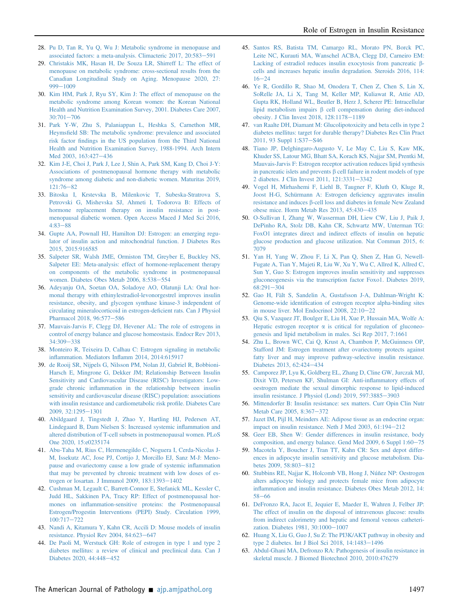- <span id="page-7-0"></span>28. [Pu D, Tan R, Yu Q, Wu J: Metabolic syndrome in menopause and](http://refhub.elsevier.com/S0002-9440(21)00245-5/sref28) [associated factors: a meta-analysis. Climacteric 2017, 20:583](http://refhub.elsevier.com/S0002-9440(21)00245-5/sref28)-[591](http://refhub.elsevier.com/S0002-9440(21)00245-5/sref28)
- <span id="page-7-1"></span>29. [Christakis MK, Hasan H, De Souza LR, Shirreff L: The effect of](http://refhub.elsevier.com/S0002-9440(21)00245-5/sref29) [menopause on metabolic syndrome: cross-sectional results from the](http://refhub.elsevier.com/S0002-9440(21)00245-5/sref29) [Canadian Longitudinal Study on Aging. Menopause 2020, 27:](http://refhub.elsevier.com/S0002-9440(21)00245-5/sref29) [999](http://refhub.elsevier.com/S0002-9440(21)00245-5/sref29)-[1009](http://refhub.elsevier.com/S0002-9440(21)00245-5/sref29)
- 30. [Kim HM, Park J, Ryu SY, Kim J: The effect of menopause on the](http://refhub.elsevier.com/S0002-9440(21)00245-5/sref30) [metabolic syndrome among Korean women: the Korean National](http://refhub.elsevier.com/S0002-9440(21)00245-5/sref30) [Health and Nutrition Examination Survey, 2001. Diabetes Care 2007,](http://refhub.elsevier.com/S0002-9440(21)00245-5/sref30)  $30:701 - 706$  $30:701 - 706$  $30:701 - 706$
- 31. [Park Y-W, Zhu S, Palaniappan L, Heshka S, Carnethon MR,](http://refhub.elsevier.com/S0002-9440(21)00245-5/sref31) Heymsfi[eld SB: The metabolic syndrome: prevalence and associated](http://refhub.elsevier.com/S0002-9440(21)00245-5/sref31) risk factor fi[ndings in the US population from the Third National](http://refhub.elsevier.com/S0002-9440(21)00245-5/sref31) [Health and Nutrition Examination Survey, 1988-1994. Arch Intern](http://refhub.elsevier.com/S0002-9440(21)00245-5/sref31) [Med 2003, 163:427](http://refhub.elsevier.com/S0002-9440(21)00245-5/sref31)-[436](http://refhub.elsevier.com/S0002-9440(21)00245-5/sref31)
- <span id="page-7-2"></span>32. [Kim J-E, Choi J, Park J, Lee J, Shin A, Park SM, Kang D, Choi J-Y:](http://refhub.elsevier.com/S0002-9440(21)00245-5/sref32) [Associations of postmenopausal hormone therapy with metabolic](http://refhub.elsevier.com/S0002-9440(21)00245-5/sref32) [syndrome among diabetic and non-diabetic women. Maturitas 2019,](http://refhub.elsevier.com/S0002-9440(21)00245-5/sref32)  $121:76-82$  $121:76-82$  $121:76-82$
- <span id="page-7-3"></span>33. [Bitoska I, Krstevska B, Milenkovic T, Subeska-Stratrova S,](http://refhub.elsevier.com/S0002-9440(21)00245-5/sref33) [Petrovski G, Mishevska SJ, Ahmeti I, Todorova B: Effects of](http://refhub.elsevier.com/S0002-9440(21)00245-5/sref33) [hormone replacement therapy on insulin resistance in post](http://refhub.elsevier.com/S0002-9440(21)00245-5/sref33)[menopausal diabetic women. Open Access Maced J Med Sci 2016,](http://refhub.elsevier.com/S0002-9440(21)00245-5/sref33)  $4.83 - 88$  $4.83 - 88$
- <span id="page-7-4"></span>34. [Gupte AA, Pownall HJ, Hamilton DJ: Estrogen: an emerging regu](http://refhub.elsevier.com/S0002-9440(21)00245-5/sref34)[lator of insulin action and mitochondrial function. J Diabetes Res](http://refhub.elsevier.com/S0002-9440(21)00245-5/sref34) [2015, 2015:916585](http://refhub.elsevier.com/S0002-9440(21)00245-5/sref34)
- <span id="page-7-5"></span>35. [Salpeter SR, Walsh JME, Ormiston TM, Greyber E, Buckley NS,](http://refhub.elsevier.com/S0002-9440(21)00245-5/sref35) [Salpeter EE: Meta-analysis: effect of hormone-replacement therapy](http://refhub.elsevier.com/S0002-9440(21)00245-5/sref35) [on components of the metabolic syndrome in postmenopausal](http://refhub.elsevier.com/S0002-9440(21)00245-5/sref35) [women. Diabetes Obes Metab 2006, 8:538](http://refhub.elsevier.com/S0002-9440(21)00245-5/sref35)-[554](http://refhub.elsevier.com/S0002-9440(21)00245-5/sref35)
- <span id="page-7-6"></span>36. [Adeyanju OA, Soetan OA, Soladoye AO, Olatunji LA: Oral hor](http://refhub.elsevier.com/S0002-9440(21)00245-5/sref36)[monal therapy with ethinylestradiol-levonorgestrel improves insulin](http://refhub.elsevier.com/S0002-9440(21)00245-5/sref36) [resistance, obesity, and glycogen synthase kinase-3 independent of](http://refhub.elsevier.com/S0002-9440(21)00245-5/sref36) [circulating mineralocorticoid in estrogen-de](http://refhub.elsevier.com/S0002-9440(21)00245-5/sref36)ficient rats. Can J Physiol [Pharmacol 2018, 96:577](http://refhub.elsevier.com/S0002-9440(21)00245-5/sref36)-[586](http://refhub.elsevier.com/S0002-9440(21)00245-5/sref36)
- <span id="page-7-7"></span>37. [Mauvais-Jarvis F, Clegg DJ, Hevener AL: The role of estrogens in](http://refhub.elsevier.com/S0002-9440(21)00245-5/sref37) [control of energy balance and glucose homeostasis. Endocr Rev 2013,](http://refhub.elsevier.com/S0002-9440(21)00245-5/sref37) [34:309](http://refhub.elsevier.com/S0002-9440(21)00245-5/sref37)-[338](http://refhub.elsevier.com/S0002-9440(21)00245-5/sref37)
- <span id="page-7-8"></span>38. [Monteiro R, Teixeira D, Calhau C: Estrogen signaling in metabolic](http://refhub.elsevier.com/S0002-9440(21)00245-5/sref38) inflammation. Mediators Infl[amm 2014, 2014:615917](http://refhub.elsevier.com/S0002-9440(21)00245-5/sref38)
- <span id="page-7-9"></span>39. [de Rooij SR, Nijpels G, Nilsson PM, Nolan JJ, Gabriel R, Bobbioni-](http://refhub.elsevier.com/S0002-9440(21)00245-5/sref39)[Harsch E, Mingrone G, Dekker JM; Relationship Between Insulin](http://refhub.elsevier.com/S0002-9440(21)00245-5/sref39) [Sensitivity and Cardiovascular Disease \(RISC\) Investigators: Low](http://refhub.elsevier.com/S0002-9440(21)00245-5/sref39)grade chronic infl[ammation in the relationship between insulin](http://refhub.elsevier.com/S0002-9440(21)00245-5/sref39) [sensitivity and cardiovascular disease \(RISC\) population: associations](http://refhub.elsevier.com/S0002-9440(21)00245-5/sref39) [with insulin resistance and cardiometabolic risk pro](http://refhub.elsevier.com/S0002-9440(21)00245-5/sref39)file. Diabetes Care  $2009, 32:1295 - 1301$  $2009, 32:1295 - 1301$  $2009, 32:1295 - 1301$
- <span id="page-7-10"></span>40. [Abildgaard J, Tingstedt J, Zhao Y, Hartling HJ, Pedersen AT,](http://refhub.elsevier.com/S0002-9440(21)00245-5/sref40) [Lindegaard B, Dam Nielsen S: Increased systemic in](http://refhub.elsevier.com/S0002-9440(21)00245-5/sref40)flammation and [altered distribution of T-cell subsets in postmenopausal women. PLoS](http://refhub.elsevier.com/S0002-9440(21)00245-5/sref40) [One 2020, 15:e0235174](http://refhub.elsevier.com/S0002-9440(21)00245-5/sref40)
- <span id="page-7-11"></span>41. [Abu-Taha M, Rius C, Hermenegildo C, Noguera I, Cerda-Nicolas J-](http://refhub.elsevier.com/S0002-9440(21)00245-5/sref41)[M, Issekutz AC, Jose PJ, Cortijo J, Morcillo EJ, Sanz M-J: Meno](http://refhub.elsevier.com/S0002-9440(21)00245-5/sref41)[pause and ovariectomy cause a low grade of systemic in](http://refhub.elsevier.com/S0002-9440(21)00245-5/sref41)flammation [that may be prevented by chronic treatment with low doses of es](http://refhub.elsevier.com/S0002-9440(21)00245-5/sref41)trogen or losartan. J Immunol 2009,  $183:1393-1402$  $183:1393-1402$
- <span id="page-7-12"></span>42. [Cushman M, Legault C, Barrett-Connor E, Stefanick ML, Kessler C,](http://refhub.elsevier.com/S0002-9440(21)00245-5/sref42) [Judd HL, Sakkinen PA, Tracy RP: Effect of postmenopausal hor](http://refhub.elsevier.com/S0002-9440(21)00245-5/sref42)mones on infl[ammation-sensitive proteins: the Postmenopausal](http://refhub.elsevier.com/S0002-9440(21)00245-5/sref42) [Estrogen/Progestin Interventions \(PEPI\) Study. Circulation 1999,](http://refhub.elsevier.com/S0002-9440(21)00245-5/sref42) [100:717](http://refhub.elsevier.com/S0002-9440(21)00245-5/sref42)-[722](http://refhub.elsevier.com/S0002-9440(21)00245-5/sref42)
- <span id="page-7-13"></span>43. [Nandi A, Kitamura Y, Kahn CR, Accili D: Mouse models of insulin](http://refhub.elsevier.com/S0002-9440(21)00245-5/sref43) resistance. Physiol Rev 2004,  $84:623-647$  $84:623-647$
- <span id="page-7-14"></span>44. [De Paoli M, Werstuck GH: Role of estrogen in type 1 and type 2](http://refhub.elsevier.com/S0002-9440(21)00245-5/sref44) [diabetes mellitus: a review of clinical and preclinical data. Can J](http://refhub.elsevier.com/S0002-9440(21)00245-5/sref44) [Diabetes 2020, 44:448](http://refhub.elsevier.com/S0002-9440(21)00245-5/sref44)-[452](http://refhub.elsevier.com/S0002-9440(21)00245-5/sref44)
- <span id="page-7-15"></span>45. [Santos RS, Batista TM, Camargo RL, Morato PN, Borck PC,](http://refhub.elsevier.com/S0002-9440(21)00245-5/sref45) [Leite NC, Kurauti MA, Wanschel ACBA, Clegg DJ, Carneiro EM:](http://refhub.elsevier.com/S0002-9440(21)00245-5/sref45) [Lacking of estradiol reduces insulin exocytosis from pancreatic](http://refhub.elsevier.com/S0002-9440(21)00245-5/sref45)  $\beta$ [cells and increases hepatic insulin degradation. Steroids 2016, 114:](http://refhub.elsevier.com/S0002-9440(21)00245-5/sref45)  $16 - 24$  $16 - 24$  $16 - 24$
- <span id="page-7-16"></span>46. [Ye R, Gordillo R, Shao M, Onodera T, Chen Z, Chen S, Lin X,](http://refhub.elsevier.com/S0002-9440(21)00245-5/sref46) [SoRelle JA, Li X, Tang M, Keller MP, Kuliawat R, Attie AD,](http://refhub.elsevier.com/S0002-9440(21)00245-5/sref46) [Gupta RK, Holland WL, Beutler B, Herz J, Scherer PE: Intracellular](http://refhub.elsevier.com/S0002-9440(21)00245-5/sref46) lipid metabolism impairs  $\beta$  [cell compensation during diet-induced](http://refhub.elsevier.com/S0002-9440(21)00245-5/sref46) [obesity. J Clin Invest 2018, 128:1178](http://refhub.elsevier.com/S0002-9440(21)00245-5/sref46)-[1189](http://refhub.elsevier.com/S0002-9440(21)00245-5/sref46)
- <span id="page-7-17"></span>47. [van Raalte DH, Diamant M: Glucolipotoxicity and beta cells in type 2](http://refhub.elsevier.com/S0002-9440(21)00245-5/sref47) [diabetes mellitus: target for durable therapy? Diabetes Res Clin Pract](http://refhub.elsevier.com/S0002-9440(21)00245-5/sref47) [2011, 93 Suppl 1:S37](http://refhub.elsevier.com/S0002-9440(21)00245-5/sref47)-[S46](http://refhub.elsevier.com/S0002-9440(21)00245-5/sref47)
- <span id="page-7-18"></span>48. [Tiano JP, Delghingaro-Augusto V, Le May C, Liu S, Kaw MK,](http://refhub.elsevier.com/S0002-9440(21)00245-5/sref48) [Khuder SS, Latour MG, Bhatt SA, Korach KS, Najjar SM, Prentki M,](http://refhub.elsevier.com/S0002-9440(21)00245-5/sref48) [Mauvais-Jarvis F: Estrogen receptor activation reduces lipid synthesis](http://refhub.elsevier.com/S0002-9440(21)00245-5/sref48) in pancreatic islets and prevents  $\beta$  [cell failure in rodent models of type](http://refhub.elsevier.com/S0002-9440(21)00245-5/sref48) [2 diabetes. J Clin Invest 2011, 121:3331](http://refhub.elsevier.com/S0002-9440(21)00245-5/sref48)-[3342](http://refhub.elsevier.com/S0002-9440(21)00245-5/sref48)
- <span id="page-7-19"></span>49. [Vogel H, Mirhashemi F, Liehl B, Taugner F, Kluth O, Kluge R,](http://refhub.elsevier.com/S0002-9440(21)00245-5/sref49) [Joost H-G, Schürmann A: Estrogen de](http://refhub.elsevier.com/S0002-9440(21)00245-5/sref49)ficiency aggravates insulin resistance and induces β[-cell loss and diabetes in female New Zealand](http://refhub.elsevier.com/S0002-9440(21)00245-5/sref49) [obese mice. Horm Metab Res 2013, 45:430](http://refhub.elsevier.com/S0002-9440(21)00245-5/sref49)-[435](http://refhub.elsevier.com/S0002-9440(21)00245-5/sref49)
- <span id="page-7-20"></span>50. [O-Sullivan I, Zhang W, Wasserman DH, Liew CW, Liu J, Paik J,](http://refhub.elsevier.com/S0002-9440(21)00245-5/sref50) [DePinho RA, Stolz DB, Kahn CR, Schwartz MW, Unterman TG:](http://refhub.elsevier.com/S0002-9440(21)00245-5/sref50) [FoxO1 integrates direct and indirect effects of insulin on hepatic](http://refhub.elsevier.com/S0002-9440(21)00245-5/sref50) [glucose production and glucose utilization. Nat Commun 2015, 6:](http://refhub.elsevier.com/S0002-9440(21)00245-5/sref50) [7079](http://refhub.elsevier.com/S0002-9440(21)00245-5/sref50)
- <span id="page-7-21"></span>51. [Yan H, Yang W, Zhou F, Li X, Pan Q, Shen Z, Han G, Newell-](http://refhub.elsevier.com/S0002-9440(21)00245-5/sref51)[Fugate A, Tian Y, Majeti R, Liu W, Xu Y, Wu C, Allred K, Allred C,](http://refhub.elsevier.com/S0002-9440(21)00245-5/sref51) [Sun Y, Guo S: Estrogen improves insulin sensitivity and suppresses](http://refhub.elsevier.com/S0002-9440(21)00245-5/sref51) [gluconeogenesis via the transcription factor Foxo1. Diabetes 2019,](http://refhub.elsevier.com/S0002-9440(21)00245-5/sref51)  $68:291-304$  $68:291-304$  $68:291-304$
- <span id="page-7-22"></span>52. [Gao H, Fält S, Sandelin A, Gustafsson J-A, Dahlman-Wright K:](http://refhub.elsevier.com/S0002-9440(21)00245-5/sref52) Genome-wide identifi[cation of estrogen receptor alpha-binding sites](http://refhub.elsevier.com/S0002-9440(21)00245-5/sref52) in mouse liver. Mol Endocrinol 2008,  $22:10-22$  $22:10-22$
- 53. [Qiu S, Vazquez JT, Boulger E, Liu H, Xue P, Hussain MA, Wolfe A:](http://refhub.elsevier.com/S0002-9440(21)00245-5/sref53) Hepatic estrogen receptor  $\alpha$  [is critical for regulation of gluconeo](http://refhub.elsevier.com/S0002-9440(21)00245-5/sref53)[genesis and lipid metabolism in males. Sci Rep 2017, 7:1661](http://refhub.elsevier.com/S0002-9440(21)00245-5/sref53)
- <span id="page-7-25"></span>54. [Zhu L, Brown WC, Cai Q, Krust A, Chambon P, McGuinness OP,](http://refhub.elsevier.com/S0002-9440(21)00245-5/sref54) [Stafford JM: Estrogen treatment after ovariectomy protects against](http://refhub.elsevier.com/S0002-9440(21)00245-5/sref54) [fatty liver and may improve pathway-selective insulin resistance.](http://refhub.elsevier.com/S0002-9440(21)00245-5/sref54) [Diabetes 2013, 62:424](http://refhub.elsevier.com/S0002-9440(21)00245-5/sref54)-[434](http://refhub.elsevier.com/S0002-9440(21)00245-5/sref54)
- <span id="page-7-23"></span>55. [Camporez JP, Lyu K, Goldberg EL, Zhang D, Cline GW, Jurczak MJ,](http://refhub.elsevier.com/S0002-9440(21)00245-5/sref55) [Dixit VD, Petersen KF, Shulman GI: Anti-in](http://refhub.elsevier.com/S0002-9440(21)00245-5/sref55)flammatory effects of [oestrogen mediate the sexual dimorphic response to lipid-induced](http://refhub.elsevier.com/S0002-9440(21)00245-5/sref55) [insulin resistance. J Physiol \(Lond\) 2019, 597:3885](http://refhub.elsevier.com/S0002-9440(21)00245-5/sref55)-[3903](http://refhub.elsevier.com/S0002-9440(21)00245-5/sref55)
- <span id="page-7-24"></span>56. [Mittendorfer B: Insulin resistance: sex matters. Curr Opin Clin Nutr](http://refhub.elsevier.com/S0002-9440(21)00245-5/sref56) [Metab Care 2005, 8:367](http://refhub.elsevier.com/S0002-9440(21)00245-5/sref56)-[372](http://refhub.elsevier.com/S0002-9440(21)00245-5/sref56)
- <span id="page-7-26"></span>57. [Jazet IM, Pijl H, Meinders AE: Adipose tissue as an endocrine organ:](http://refhub.elsevier.com/S0002-9440(21)00245-5/sref57) impact on insulin resistance. Neth J Med  $2003$ ,  $61:194-212$  $61:194-212$
- <span id="page-7-27"></span>58. [Geer EB, Shen W: Gender differences in insulin resistance, body](http://refhub.elsevier.com/S0002-9440(21)00245-5/sref58) [composition, and energy balance. Gend Med 2009, 6 Suppl 1:60](http://refhub.elsevier.com/S0002-9440(21)00245-5/sref58)-[75](http://refhub.elsevier.com/S0002-9440(21)00245-5/sref58)
- <span id="page-7-28"></span>59. [Macotela Y, Boucher J, Tran TT, Kahn CR: Sex and depot differ](http://refhub.elsevier.com/S0002-9440(21)00245-5/sref59)[ences in adipocyte insulin sensitivity and glucose metabolism. Dia](http://refhub.elsevier.com/S0002-9440(21)00245-5/sref59)[betes 2009, 58:803](http://refhub.elsevier.com/S0002-9440(21)00245-5/sref59)-[812](http://refhub.elsevier.com/S0002-9440(21)00245-5/sref59)
- <span id="page-7-29"></span>60. [Stubbins RE, Najjar K, Holcomb VB, Hong J, Núñez NP: Oestrogen](http://refhub.elsevier.com/S0002-9440(21)00245-5/sref60) [alters adipocyte biology and protects female mice from adipocyte](http://refhub.elsevier.com/S0002-9440(21)00245-5/sref60) infl[ammation and insulin resistance. Diabetes Obes Metab 2012, 14:](http://refhub.elsevier.com/S0002-9440(21)00245-5/sref60)  $58 - 66$  $58 - 66$  $58 - 66$
- <span id="page-7-30"></span>61. [DeFronzo RA, Jacot E, Jequier E, Maeder E, Wahren J, Felber JP:](http://refhub.elsevier.com/S0002-9440(21)00245-5/sref61) [The effect of insulin on the disposal of intravenous glucose: results](http://refhub.elsevier.com/S0002-9440(21)00245-5/sref61) [from indirect calorimetry and hepatic and femoral venous catheteri](http://refhub.elsevier.com/S0002-9440(21)00245-5/sref61)[zation. Diabetes 1981, 30:1000](http://refhub.elsevier.com/S0002-9440(21)00245-5/sref61)-[1007](http://refhub.elsevier.com/S0002-9440(21)00245-5/sref61)
- <span id="page-7-31"></span>62. [Huang X, Liu G, Guo J, Su Z: The PI3K/AKT pathway in obesity and](http://refhub.elsevier.com/S0002-9440(21)00245-5/sref62) type 2 diabetes. Int J Biol Sci 2018,  $14:1483-1496$  $14:1483-1496$
- <span id="page-7-32"></span>63. [Abdul-Ghani MA, Defronzo RA: Pathogenesis of insulin resistance in](http://refhub.elsevier.com/S0002-9440(21)00245-5/sref63) [skeletal muscle. J Biomed Biotechnol 2010, 2010:476279](http://refhub.elsevier.com/S0002-9440(21)00245-5/sref63)